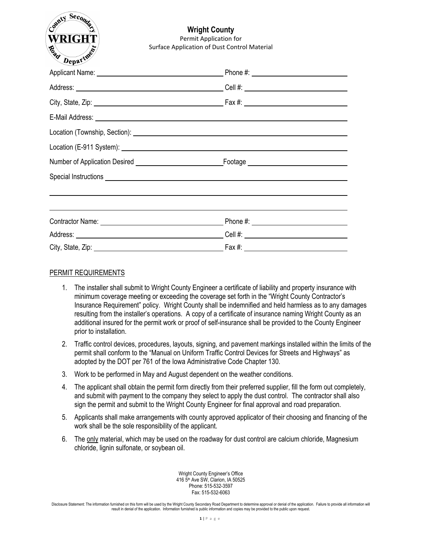

## **Wright County**  Permit Application for Surface Application of Dust Control Material

| $\sim$ $\sim$ $\sim$ $\sim$ |                                                                                                                                                                                                                                      |  |
|-----------------------------|--------------------------------------------------------------------------------------------------------------------------------------------------------------------------------------------------------------------------------------|--|
|                             |                                                                                                                                                                                                                                      |  |
|                             |                                                                                                                                                                                                                                      |  |
|                             |                                                                                                                                                                                                                                      |  |
|                             | E-Mail Address: <u>Quarter and Contract and Contract and Contract and Contract and Contract and Contract and Contract and Contract and Contract and Contract and Contract and Contract and Contract and Contract and Contract an</u> |  |
|                             |                                                                                                                                                                                                                                      |  |
|                             |                                                                                                                                                                                                                                      |  |
|                             |                                                                                                                                                                                                                                      |  |
|                             | Special Instructions expected by the state of the state of the state of the state of the state of the state of                                                                                                                       |  |
|                             |                                                                                                                                                                                                                                      |  |
|                             | Contractor Name: Contractor Name: Contractor Name: Contractor Name: Contractor Name: Contractor Name: Contractor Name: Contractor Name: Contractor Name: Contractor Name: Contractor Name: Contractor Name: Contractor Name: C       |  |
|                             | Address: Cell #: Cell #:                                                                                                                                                                                                             |  |
|                             |                                                                                                                                                                                                                                      |  |

## PERMIT REQUIREMENTS

- 1. The installer shall submit to Wright County Engineer a certificate of liability and property insurance with minimum coverage meeting or exceeding the coverage set forth in the "Wright County Contractor's Insurance Requirement" policy. Wright County shall be indemnified and held harmless as to any damages resulting from the installer's operations. A copy of a certificate of insurance naming Wright County as an additional insured for the permit work or proof of self-insurance shall be provided to the County Engineer prior to installation.
- 2. Traffic control devices, procedures, layouts, signing, and pavement markings installed within the limits of the permit shall conform to the "Manual on Uniform Traffic Control Devices for Streets and Highways" as adopted by the DOT per 761 of the Iowa Administrative Code Chapter 130.
- 3. Work to be performed in May and August dependent on the weather conditions.
- 4. The applicant shall obtain the permit form directly from their preferred supplier, fill the form out completely, and submit with payment to the company they select to apply the dust control. The contractor shall also sign the permit and submit to the Wright County Engineer for final approval and road preparation.
- 5. Applicants shall make arrangements with county approved applicator of their choosing and financing of the work shall be the sole responsibility of the applicant.
- 6. The only material, which may be used on the roadway for dust control are calcium chloride, Magnesium chloride, lignin sulfonate, or soybean oil.

Wright County Engineer's Office 416 5th Ave SW, Clarion, IA 50525 Phone: 515-532-3597 Fax: 515-532-6063

Disclosure Statement: The information furnished on this form will be used by the Wright County Secondary Road Department to determine approval or denial of the application. Failure to provide all information will result in denial of the application. Information furnished is public information and copies may be provided to the public upon request.